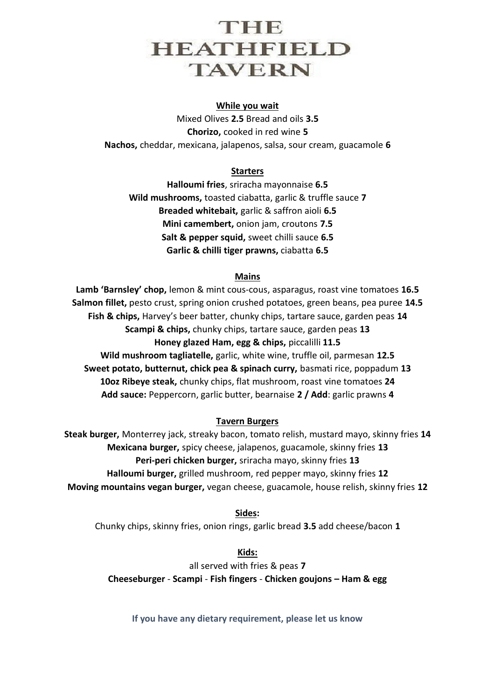## THE **HEATHFIELD TAVERN** Ī

#### **While you wait**

Mixed Olives **2.5** Bread and oils **3.5 Chorizo,** cooked in red wine **5 Nachos,** cheddar, mexicana, jalapenos, salsa, sour cream, guacamole **6**

#### **Starters**

**Halloumi fries**, sriracha mayonnaise **6.5 Wild mushrooms,** toasted ciabatta, garlic & truffle sauce **7 Breaded whitebait,** garlic & saffron aioli **6.5 Mini camembert,** onion jam, croutons **7.5 Salt & pepper squid,** sweet chilli sauce **6.5 Garlic & chilli tiger prawns,** ciabatta **6.5**

#### **Mains**

**Lamb 'Barnsley' chop,** lemon & mint cous-cous, asparagus, roast vine tomatoes **16.5 Salmon fillet,** pesto crust, spring onion crushed potatoes, green beans, pea puree **14.5 Fish & chips,** Harvey's beer batter, chunky chips, tartare sauce, garden peas **14 Scampi & chips,** chunky chips, tartare sauce, garden peas **13 Honey glazed Ham, egg & chips,** piccalilli **11.5 Wild mushroom tagliatelle,** garlic, white wine, truffle oil, parmesan **12.5 Sweet potato, butternut, chick pea & spinach curry,** basmati rice, poppadum **13 10oz Ribeye steak,** chunky chips, flat mushroom, roast vine tomatoes **24 Add sauce:** Peppercorn, garlic butter, bearnaise **2 / Add**: garlic prawns **4**

#### **Tavern Burgers**

**Steak burger,** Monterrey jack, streaky bacon, tomato relish, mustard mayo, skinny fries **14 Mexicana burger,** spicy cheese, jalapenos, guacamole, skinny fries **13 Peri-peri chicken burger,** sriracha mayo, skinny fries **13 Halloumi burger,** grilled mushroom, red pepper mayo, skinny fries **12 Moving mountains vegan burger,** vegan cheese, guacamole, house relish, skinny fries **12**

#### **Sides:**

Chunky chips, skinny fries, onion rings, garlic bread **3.5** add cheese/bacon **1**

**Kids:**

all served with fries & peas **7 Cheeseburger** - **Scampi** - **Fish fingers** - **Chicken goujons – Ham & egg**

**If you have any dietary requirement, please let us know**